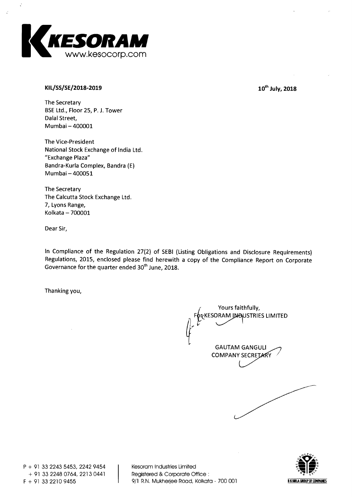

# **KIL/SS/SE/2018-2019 10<sup>th</sup> July, 2018**

**The Secretary BSE Ltd., Floor 25, P. J. Tower Dalai Street, Mumbai — 400001** 

**The Vice-President National Stock Exchange of India Ltd. "Exchange Plaza" Bandra-Kurla Complex, Bandra (E) Mumbai — 400051** 

**The Secretary The Calcutta Stock Exchange Ltd. 7, Lyons Range, Kolkata — 700001** 

**Dear Sir,** 

**In Compliance of the Regulation 27(2) of SEBI (Listing Obligations and Disclosure Requirements) Regulations, 2015, enclosed please find herewith a copy of the Compliance Report on Corporate**  Governance for the quarter ended 30<sup>th</sup> June, 2018.

**Thanking you,** 

**Yours faithfully, prKESORAM JNDUSTRIES LIMITED GAUTAM GANGULI COMPANY SECRETARY** 

**P + 91 33 2243 5453, 2242 9454 + 91 33 2248 0764, 2213 0441 F + 91 33 2210 9455** 

**Kesoram Industries Limited Registered & Corporate Office : 9/1 R.N. Mukherjee Road, Kolkata - 700 001** 

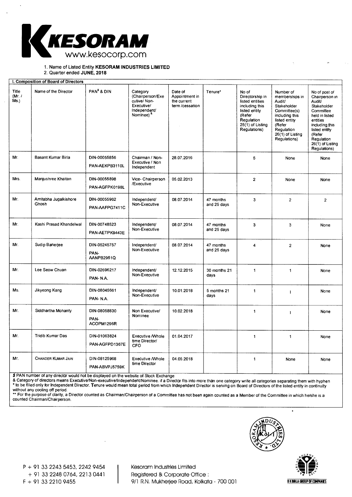

**1. Name of Listed Entity KESORAM INDUSTRIES LIMITED** 

**2. Quarter ended JUNE, 2018** 

| I. Composition of Board of Directors |                                |                                    |                                                                                                        |                                                             |                          |                                                                                                                                            |                                                                                                                                                                     |                                                                                                                                                                                                   |
|--------------------------------------|--------------------------------|------------------------------------|--------------------------------------------------------------------------------------------------------|-------------------------------------------------------------|--------------------------|--------------------------------------------------------------------------------------------------------------------------------------------|---------------------------------------------------------------------------------------------------------------------------------------------------------------------|---------------------------------------------------------------------------------------------------------------------------------------------------------------------------------------------------|
| Title<br>(Mr. $/$<br>Ms.             | Name of the Director           | PAN <sup>\$</sup> & DIN            | Category<br>(Chairperson/Exe<br>cutive/Non-<br>Executive/<br>Independent/<br>Nominee) <sup>&amp;</sup> | Date of<br>Appointment in<br>the current<br>term /cessation | Tenure*                  | No of<br>Directorship in<br>listed entities<br>including this<br>listed entity<br>(Refer<br>Regulation<br>25(1) of Listing<br>Regulations) | Number of<br>memberships in<br>Audit/<br>Stakeholder<br>Committee(s)<br>including this<br>listed entity<br>(Refer<br>Regulation<br>26(1) of Listing<br>Regulations) | No of post of<br>Chairperson in<br>Audit<br>Stakeholder<br>Committee<br>held in listed<br>entities<br>including this<br>listed entity<br>(Refer<br>Regulation<br>26(1) of Listing<br>Regulations) |
| Mr.                                  | Basant Kumar Birla             | DIN-00055856<br>PAN-AEKPB3110L     | Chairman / Non-<br>Executive / Non<br>Independent                                                      | 28.07.2016                                                  |                          | 5                                                                                                                                          | None                                                                                                                                                                | None                                                                                                                                                                                              |
| Mrs.                                 | Manjushree Khaitan             | DIN-00055898<br>PAN-AGFPK0198L     | Vice- Chairperson<br>/Executive                                                                        | 05.02.2013                                                  |                          | $\overline{2}$                                                                                                                             | None                                                                                                                                                                | None                                                                                                                                                                                              |
| Mr.                                  | Amitabha Jugalkishore<br>Ghosh | DIN-00055962<br>PAN-AAFPG7411C     | independent/<br>Non-Executive                                                                          | 08.07.2014                                                  | 47 months<br>and 25 days | $\mathbf{3}$                                                                                                                               | $\overline{2}$                                                                                                                                                      | $\overline{2}$                                                                                                                                                                                    |
| Mr.                                  | Kashi Prasad Khandelwal        | DIN-00748523<br>PAN-AETPK9443E     | Independent/<br>Non-Executive                                                                          | 08.07.2014                                                  | 47 months<br>and 25 days | $\mathbf{3}$                                                                                                                               | 3                                                                                                                                                                   | None                                                                                                                                                                                              |
| Mr.                                  | Sudip Banerjee                 | DIN-05245757<br>PAN-<br>AANPB2951Q | Independent/<br>Non-Executive                                                                          | 08.07.2014                                                  | 47 months<br>and 25 days | 4                                                                                                                                          | $\overline{2}$                                                                                                                                                      | None                                                                                                                                                                                              |
| Mr.                                  | Lee Seow Chuan                 | DIN-02696217<br>PAN-N.A.           | Independent/<br>Non-Executive                                                                          | 12.12.2015                                                  | 30 months 21<br>days     | $\mathbf{1}$                                                                                                                               | $\mathbf{1}$                                                                                                                                                        | None                                                                                                                                                                                              |
| Ms.                                  | Jikyeong Kang                  | DIN-08045661<br>PAN-N.A.           | Independent/<br>Non-Executive                                                                          | 10.01.2018                                                  | 5 months 21<br>days      | $\mathbf{1}$                                                                                                                               |                                                                                                                                                                     | None                                                                                                                                                                                              |
| Mr.                                  | Siddhartha Mohanty             | DIN-08058830<br>PAN-<br>ACOPM1296R | Non Executive/<br>Nominee                                                                              | 10.02.2018                                                  |                          | 1                                                                                                                                          | 1                                                                                                                                                                   | None                                                                                                                                                                                              |
| Mr.                                  | Tridib Kumar Das               | DIN-01063824<br>PAN-AGFPD1367E     | <b>Executive / Whole</b><br>time Director/<br>CFO                                                      | 01.04.2017                                                  |                          | $\mathbf{1}$                                                                                                                               | $\mathbf{1}$                                                                                                                                                        | None                                                                                                                                                                                              |
| Mr.                                  | <b>CHANDER KUMAR JAIN</b>      | DIN-08125968<br>PAN-ABVPJ5759K     | <b>Executive / Whole</b><br>time Director                                                              | 04.05.2018                                                  |                          | $\mathbf{1}$                                                                                                                               | None                                                                                                                                                                | None                                                                                                                                                                                              |

 $\$$  PAN number of any director would not be displayed on the website of Stock Exchange

& Category of directors means Executive/Non-executive/Independent/Nominee. if a Director fits into more than one category write all categories separating them with hypher<br>\* to be filled only for Independent Director. Tenur without any cooling off period.

\*\* For the purpose of clarity, a Director counted as Chairman/Chairperson of a Committee has not been again counted as a Member of the Committee in which he/she is a counted Chairman/Chairperson.



+ 91 33 2248 0764, 2213 0441 Registered & Corporate Office : F + 91 33 2210 9455 9/1 R.N. Mukherjee Road, Kolkata - 700 001



 $\ddot{\phantom{0}}$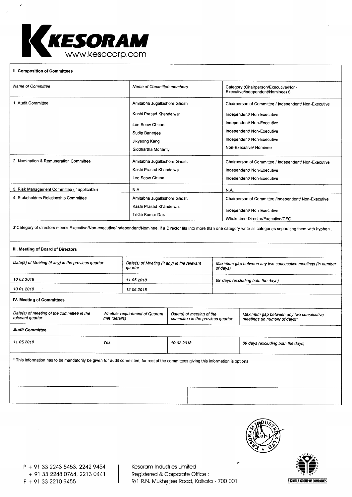

### **II. Composition of Committees**

| <b>Name of Committee</b>                                                                                                                                                     | Name of Committee members   | Category (Chairperson/Executive/Non-<br>Executive/independent/Nominee) \$ |  |  |
|------------------------------------------------------------------------------------------------------------------------------------------------------------------------------|-----------------------------|---------------------------------------------------------------------------|--|--|
| 1. Audit Committee                                                                                                                                                           | Amitabha Jugalkishore Ghosh | Chairperson of Committee / Independent/ Non-Executive                     |  |  |
|                                                                                                                                                                              | Kashi Prasad Khandelwal     | Independent/ Non-Executive                                                |  |  |
|                                                                                                                                                                              | Lee Seow Chuan              | Independent/ Non-Executive<br>Independent/ Non-Executive                  |  |  |
|                                                                                                                                                                              | Sudip Baneriee              |                                                                           |  |  |
|                                                                                                                                                                              | Jikyeong Kang               | Independent/ Non-Executive                                                |  |  |
|                                                                                                                                                                              | Siddhartha Mohanty          | Non-Executive/Nominee                                                     |  |  |
| 2. Nomination & Remuneration Committee                                                                                                                                       | Amitabha Jugalkishore Ghosh | Chairperson of Committee / Independent/ Non-Executive                     |  |  |
|                                                                                                                                                                              | Kashi Prasad Khandelwal     | Independent/ Non-Executive                                                |  |  |
|                                                                                                                                                                              | Lee Seow Chuan              | Independent/ Non-Executive                                                |  |  |
| 3. Risk Management Committee (if applicable)                                                                                                                                 | N.A.                        | N.A.                                                                      |  |  |
| 4. Stakeholders Relationship Committee                                                                                                                                       | Amitabha Jugalkishore Ghosh | Chairperson of Committee /Independent/ Non-Executive                      |  |  |
|                                                                                                                                                                              | Kashi Prasad Khandelwal     | Independent/ Non-Executive                                                |  |  |
|                                                                                                                                                                              | Tridib Kumar Das            | Whole time Director/Executive/CFO                                         |  |  |
| \$ Category of directors means Executive/Non-executive/Independent/Nominee. if a Director fits into more than one category write all categories separating them with hyphen. |                             |                                                                           |  |  |

## **III. Meeting of Board of Directors**

| Date(s) of Meeting (if any) in the previous quarter | Date(s) of Meeting (if any) in the relevant<br>quarter | Maximum gap between any two consecutive meetings (in number<br>of days) |
|-----------------------------------------------------|--------------------------------------------------------|-------------------------------------------------------------------------|
| 10.02.2018                                          | 11.05.2018                                             | 89 days (excluding both the days)                                       |
| 10.01.2018                                          | 12.06.2018                                             |                                                                         |

# **IV. Meeting of Committees**

| Date(s) of meeting of the committee in the<br>relevant quarter                                                                        | Whether requirement of Quorum<br>met (details) | Date(s) of meeting of the<br>committee in the previous quarter | Maximum gap between any two consecutive<br>meetings (in number of days)* |  |
|---------------------------------------------------------------------------------------------------------------------------------------|------------------------------------------------|----------------------------------------------------------------|--------------------------------------------------------------------------|--|
| <b>Audit Committee</b>                                                                                                                |                                                |                                                                |                                                                          |  |
| 11.05.2018                                                                                                                            | Yes                                            | 10.02.2018                                                     | 89 days (excluding both the days)                                        |  |
| * This information has to be mandatorily be given for audit committee, for rest of the committees giving this information is optional |                                                |                                                                |                                                                          |  |



#

P + 91 33 2243 5453, 2242 9454 Kesoram Industries Limited + 91 33 2248 0764, 2213 0441 Registered & Corporate Office :

9/1 R.N. Mukherjee Road, Kolkata - 700 001 **BK BIRLA GROUP OF COMPANES**